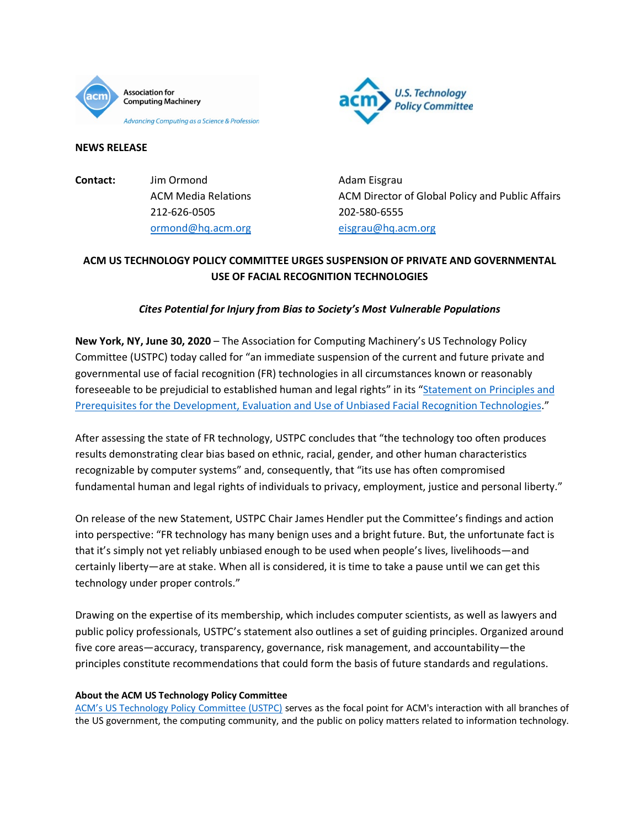



### **NEWS RELEASE**

| Contact: | Jim Ormond                 | Adam Eisgrau        |
|----------|----------------------------|---------------------|
|          | <b>ACM Media Relations</b> | <b>ACM Director</b> |
|          | 212-626-0505               | 202-580-6555        |
|          | ormond@hq.acm.org          | eisgrau@hq.a        |

ACM Director of Global Policy and Public Affairs 202-580-6555 [eisgrau@hq.acm.org](mailto:eisgrau@hq.acm.org)

# **ACM US TECHNOLOGY POLICY COMMITTEE URGES SUSPENSION OF PRIVATE AND GOVERNMENTAL USE OF FACIAL RECOGNITION TECHNOLOGIES**

## *Cites Potential for Injury from Bias to Society's Most Vulnerable Populations*

**New York, NY, June 30, 2020** – The Association for Computing Machinery's US Technology Policy Committee (USTPC) today called for "an immediate suspension of the current and future private and governmental use of facial recognition (FR) technologies in all circumstances known or reasonably foreseeable to be prejudicial to established human and legal rights" in its ["Statement on Principles and](https://www.acm.org/binaries/content/assets/public-policy/ustpc-facial-recognition-tech-statement.pdf)  [Prerequisites for the Development, Evaluation and Use of Unbiased Facial Recognition Technologies.](https://www.acm.org/binaries/content/assets/public-policy/ustpc-facial-recognition-tech-statement.pdf)"

After assessing the state of FR technology, USTPC concludes that "the technology too often produces results demonstrating clear bias based on ethnic, racial, gender, and other human characteristics recognizable by computer systems" and, consequently, that "its use has often compromised fundamental human and legal rights of individuals to privacy, employment, justice and personal liberty."

On release of the new Statement, USTPC Chair James Hendler put the Committee's findings and action into perspective: "FR technology has many benign uses and a bright future. But, the unfortunate fact is that it's simply not yet reliably unbiased enough to be used when people's lives, livelihoods—and certainly liberty—are at stake. When all is considered, it is time to take a pause until we can get this technology under proper controls."

Drawing on the expertise of its membership, which includes computer scientists, as well as lawyers and public policy professionals, USTPC's statement also outlines a set of guiding principles. Organized around five core areas—accuracy, transparency, governance, risk management, and accountability—the principles constitute recommendations that could form the basis of future standards and regulations.

### **About the ACM US Technology Policy Committee**

[ACM's US Technology Policy Committee \(USTPC\)](https://www.acm.org/public-policy/ustpc) serves as the focal point for ACM's interaction with all branches of the US government, the computing community, and the public on policy matters related to information technology.